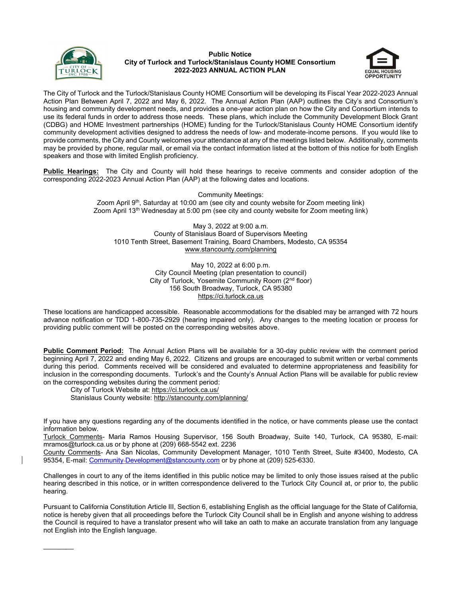

 $\frac{1}{2}$ 

## Public Notice City of Turlock and Turlock/Stanislaus County HOME Consortium 2022-2023 ANNUAL ACTION PLAN



The City of Turlock and the Turlock/Stanislaus County HOME Consortium will be developing its Fiscal Year 2022-2023 Annual Action Plan Between April 7, 2022 and May 6, 2022. The Annual Action Plan (AAP) outlines the City's and Consortium's housing and community development needs, and provides a one-year action plan on how the City and Consortium intends to use its federal funds in order to address those needs. These plans, which include the Community Development Block Grant (CDBG) and HOME Investment partnerships (HOME) funding for the Turlock/Stanislaus County HOME Consortium identify community development activities designed to address the needs of low- and moderate-income persons. If you would like to provide comments, the City and County welcomes your attendance at any of the meetings listed below. Additionally, comments may be provided by phone, regular mail, or email via the contact information listed at the bottom of this notice for both English speakers and those with limited English proficiency.

Public Hearings: The City and County will hold these hearings to receive comments and consider adoption of the corresponding 2022-2023 Annual Action Plan (AAP) at the following dates and locations.

> Community Meetings: Zoom April  $9<sup>th</sup>$ , Saturday at 10:00 am (see city and county website for Zoom meeting link) Zoom April 13th Wednesday at 5:00 pm (see city and county website for Zoom meeting link)

May 3, 2022 at 9:00 a.m. County of Stanislaus Board of Supervisors Meeting 1010 Tenth Street, Basement Training, Board Chambers, Modesto, CA 95354 www.stancounty.com/planning

> May 10, 2022 at 6:00 p.m. City Council Meeting (plan presentation to council) City of Turlock, Yosemite Community Room (2nd floor) 156 South Broadway, Turlock, CA 95380 https://ci.turlock.ca.us

These locations are handicapped accessible. Reasonable accommodations for the disabled may be arranged with 72 hours advance notification or TDD 1-800-735-2929 (hearing impaired only). Any changes to the meeting location or process for providing public comment will be posted on the corresponding websites above.

Public Comment Period: The Annual Action Plans will be available for a 30-day public review with the comment period beginning April 7, 2022 and ending May 6, 2022. Citizens and groups are encouraged to submit written or verbal comments during this period. Comments received will be considered and evaluated to determine appropriateness and feasibility for inclusion in the corresponding documents. Turlock's and the County's Annual Action Plans will be available for public review on the corresponding websites during the comment period:

City of Turlock Website at: https://ci.turlock.ca.us/

Stanislaus County website: http://stancounty.com/planning/

If you have any questions regarding any of the documents identified in the notice, or have comments please use the contact information below.

Turlock Comments- Maria Ramos Housing Supervisor, 156 South Broadway, Suite 140, Turlock, CA 95380, E-mail: mramos@turlock.ca.us or by phone at (209) 668-5542 ext. 2236

County Comments- Ana San Nicolas, Community Development Manager, 1010 Tenth Street, Suite #3400, Modesto, CA 95354, E-mail: Community Development@stancounty.com or by phone at (209) 525-6330.

Challenges in court to any of the items identified in this public notice may be limited to only those issues raised at the public hearing described in this notice, or in written correspondence delivered to the Turlock City Council at, or prior to, the public hearing.

Pursuant to California Constitution Article III, Section 6, establishing English as the official language for the State of California, notice is hereby given that all proceedings before the Turlock City Council shall be in English and anyone wishing to address the Council is required to have a translator present who will take an oath to make an accurate translation from any language not English into the English language.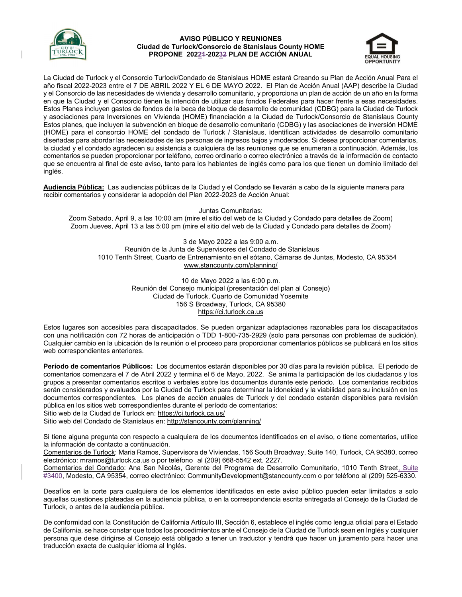

## AVISO PÚBLICO Y REUNIONES Ciudad de Turlock/Consorcio de Stanislaus County HOME PROPONE 20221-20232 PLAN DE ACCIÓN ANUAL



La Ciudad de Turlock y el Consorcio Turlock/Condado de Stanislaus HOME estará Creando su Plan de Acción Anual Para el año fiscal 2022-2023 entre el 7 DE ABRIL 2022 Y EL 6 DE MAYO 2022. El Plan de Acción Anual (AAP) describe la Ciudad y el Consorcio de las necesidades de vivienda y desarrollo comunitario, y proporciona un plan de acción de un año en la forma en que la Ciudad y el Consorcio tienen la intención de utilizar sus fondos Federales para hacer frente a esas necesidades. Estos Planes incluyen gastos de fondos de la beca de bloque de desarrollo de comunidad (CDBG) para la Ciudad de Turlock y asociaciones para Inversiones en Vivienda (HOME) financiación a la Ciudad de Turlock/Consorcio de Stanislaus County Estos planes, que incluyen la subvención en bloque de desarrollo comunitario (CDBG) y las asociaciones de inversión HOME (HOME) para el consorcio HOME del condado de Turlock / Stanislaus, identifican actividades de desarrollo comunitario diseñadas para abordar las necesidades de las personas de ingresos bajos y moderados. Si desea proporcionar comentarios, la ciudad y el condado agradecen su asistencia a cualquiera de las reuniones que se enumeran a continuación. Además, los comentarios se pueden proporcionar por teléfono, correo ordinario o correo electrónico a través de la información de contacto que se encuentra al final de este aviso, tanto para los hablantes de inglés como para los que tienen un dominio limitado del inglés.

Audiencia Pública: Las audiencias públicas de la Ciudad y el Condado se llevarán a cabo de la siguiente manera para recibir comentarios y considerar la adopción del Plan 2022-2023 de Acción Anual:

Juntas Comunitarias: Zoom Sabado, April 9, a las 10:00 am (mire el sitio del web de la Ciudad y Condado para detalles de Zoom) Zoom Jueves, April 13 a las 5:00 pm (mire el sitio del web de la Ciudad y Condado para detalles de Zoom)

3 de Mayo 2022 a las 9:00 a.m. Reunión de la Junta de Supervisores del Condado de Stanislaus 1010 Tenth Street, Cuarto de Entrenamiento en el sótano, Cámaras de Juntas, Modesto, CA 95354 www.stancounty.com/planning/

> 10 de Mayo 2022 a las 6:00 p.m. Reunión del Consejo municipal (presentación del plan al Consejo) Ciudad de Turlock, Cuarto de Comunidad Yosemite 156 S Broadway, Turlock, CA 95380 https://ci.turlock.ca.us

Estos lugares son accesibles para discapacitados. Se pueden organizar adaptaciones razonables para los discapacitados con una notificación con 72 horas de anticipación o TDD 1-800-735-2929 (solo para personas con problemas de audición). Cualquier cambio en la ubicación de la reunión o el proceso para proporcionar comentarios públicos se publicará en los sitios web correspondientes anteriores.

Período de comentarios Públicos: Los documentos estarán disponibles por 30 días para la revisión pública. El periodo de comentarios comenzara el 7 de Abril 2022 y termina el 6 de Mayo, 2022. Se anima la participación de los ciudadanos y los grupos a presentar comentarios escritos o verbales sobre los documentos durante este periodo. Los comentarios recibidos serán considerados y evaluados por la Ciudad de Turlock para determinar la idoneidad y la viabilidad para su inclusión en los documentos correspondientes. Los planes de acción anuales de Turlock y del condado estarán disponibles para revisión pública en los sitios web correspondientes durante el período de comentarios:

Sitio web de la Ciudad de Turlock en: https://ci.turlock.ca.us/

Sitio web del Condado de Stanislaus en: http://stancounty.com/planning/

Si tiene alguna pregunta con respecto a cualquiera de los documentos identificados en el aviso, o tiene comentarios, utilice la información de contacto a continuación.

Comentarios de Turlock: Maria Ramos, Supervisora de Viviendas, 156 South Broadway, Suite 140, Turlock, CA 95380, correo electrónico: mramos@turlock.ca.us o por teléfono al (209) 668-5542 ext. 2227.

Comentarios del Condado: Ana San Nicolás, Gerente del Programa de Desarrollo Comunitario, 1010 Tenth Street, Suite #3400, Modesto, CA 95354, correo electrónico: CommunityDevelopment@stancounty.com o por teléfono al (209) 525-6330.

Desafíos en la corte para cualquiera de los elementos identificados en este aviso público pueden estar limitados a solo aquellas cuestiones plateadas en la audiencia pública, o en la correspondencia escrita entregada al Consejo de la Ciudad de Turlock, o antes de la audiencia pública.

De conformidad con la Constitución de California Artículo III, Sección 6, establece el inglés como lengua oficial para el Estado de California, se hace constar que todos los procedimientos ante el Consejo de la Ciudad de Turlock sean en Inglés y cualquier persona que dese dirigirse al Consejo está obligado a tener un traductor y tendrá que hacer un juramento para hacer una traducción exacta de cualquier idioma al Inglés.